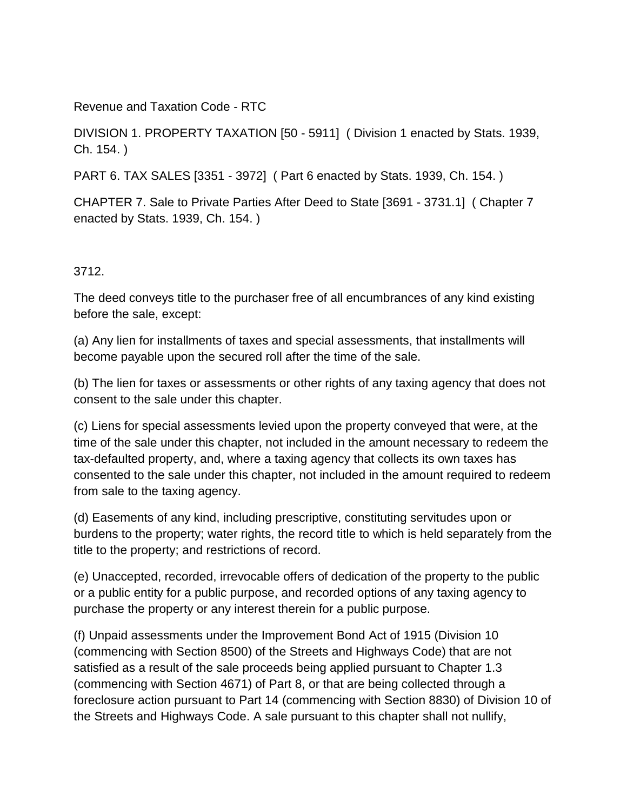Revenue and Taxation Code - RTC

DIVISION 1. PROPERTY TAXATION [50 - 5911] ( Division 1 enacted by Stats. 1939, Ch. 154. )

PART 6. TAX SALES [3351 - 3972] ( Part 6 enacted by Stats. 1939, Ch. 154. )

CHAPTER 7. Sale to Private Parties After Deed to State [3691 - 3731.1] ( Chapter 7 enacted by Stats. 1939, Ch. 154. )

## 3712.

The deed conveys title to the purchaser free of all encumbrances of any kind existing before the sale, except:

(a) Any lien for installments of taxes and special assessments, that installments will become payable upon the secured roll after the time of the sale.

(b) The lien for taxes or assessments or other rights of any taxing agency that does not consent to the sale under this chapter.

(c) Liens for special assessments levied upon the property conveyed that were, at the time of the sale under this chapter, not included in the amount necessary to redeem the tax-defaulted property, and, where a taxing agency that collects its own taxes has consented to the sale under this chapter, not included in the amount required to redeem from sale to the taxing agency.

(d) Easements of any kind, including prescriptive, constituting servitudes upon or burdens to the property; water rights, the record title to which is held separately from the title to the property; and restrictions of record.

(e) Unaccepted, recorded, irrevocable offers of dedication of the property to the public or a public entity for a public purpose, and recorded options of any taxing agency to purchase the property or any interest therein for a public purpose.

(f) Unpaid assessments under the Improvement Bond Act of 1915 (Division 10 (commencing with Section 8500) of the Streets and Highways Code) that are not satisfied as a result of the sale proceeds being applied pursuant to Chapter 1.3 (commencing with Section 4671) of Part 8, or that are being collected through a foreclosure action pursuant to Part 14 (commencing with Section 8830) of Division 10 of the Streets and Highways Code. A sale pursuant to this chapter shall not nullify,